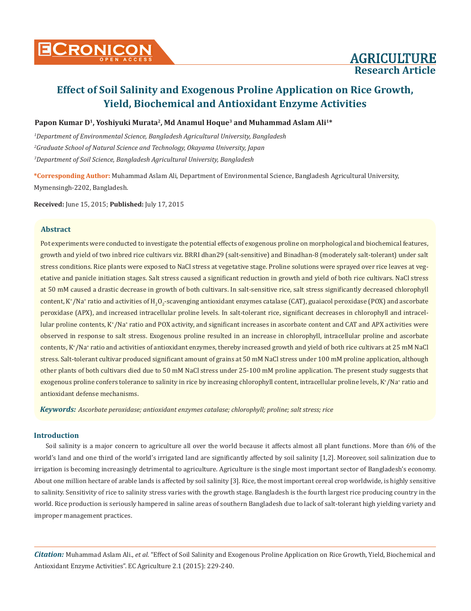# **Research Article**

## **Effect of Soil Salinity and Exogenous Proline Application on Rice Growth, Yield, Biochemical and Antioxidant Enzyme Activities**

## Papon Kumar D<sup>1</sup>, Yoshiyuki Murata<sup>2</sup>, Md Anamul Hoque<sup>3</sup> and Muhammad Aslam Ali<sup>1\*</sup>

*1 Department of Environmental Science, Bangladesh Agricultural University, Bangladesh 2 Graduate School of Natural Science and Technology, Okayama University, Japan 3 Department of Soil Science, Bangladesh Agricultural University, Bangladesh*

**\*Corresponding Author:** Muhammad Aslam Ali, Department of Environmental Science, Bangladesh Agricultural University, Mymensingh-2202, Bangladesh.

**Received:** June 15, 2015; **Published:** July 17, 2015

#### **Abstract**

Pot experiments were conducted to investigate the potential effects of exogenous proline on morphological and biochemical features, growth and yield of two inbred rice cultivars viz. BRRI dhan29 (salt-sensitive) and Binadhan-8 (moderately salt-tolerant) under salt stress conditions. Rice plants were exposed to NaCl stress at vegetative stage. Proline solutions were sprayed over rice leaves at vegetative and panicle initiation stages. Salt stress caused a significant reduction in growth and yield of both rice cultivars. NaCl stress at 50 mM caused a drastic decrease in growth of both cultivars. In salt-sensitive rice, salt stress significantly decreased chlorophyll content, K\*/Na\* ratio and activities of H<sub>2</sub>O<sub>2</sub>-scavenging antioxidant enzymes catalase (CAT), guaiacol peroxidase (POX) and ascorbate peroxidase (APX), and increased intracellular proline levels. In salt-tolerant rice, significant decreases in chlorophyll and intracellular proline contents, K\*/Na\* ratio and POX activity, and significant increases in ascorbate content and CAT and APX activities were observed in response to salt stress. Exogenous proline resulted in an increase in chlorophyll, intracellular proline and ascorbate contents, K<sup>+</sup> /Na<sup>+</sup> ratio and activities of antioxidant enzymes, thereby increased growth and yield of both rice cultivars at 25 mM NaCl stress. Salt-tolerant cultivar produced significant amount of grains at 50 mM NaCl stress under 100 mM proline application, although other plants of both cultivars died due to 50 mM NaCl stress under 25-100 mM proline application. The present study suggests that exogenous proline confers tolerance to salinity in rice by increasing chlorophyll content, intracellular proline levels, K\*/Na\* ratio and antioxidant defense mechanisms.

*Keywords: Ascorbate peroxidase; antioxidant enzymes catalase; chlorophyll; proline; salt stress; rice*

#### **Introduction**

Soil salinity is a major concern to agriculture all over the world because it affects almost all plant functions. More than 6% of the world's land and one third of the world's irrigated land are significantly affected by soil salinity [1,2]. Moreover, soil salinization due to irrigation is becoming increasingly detrimental to agriculture. Agriculture is the single most important sector of Bangladesh's economy. About one million hectare of arable lands is affected by soil salinity [3]. Rice, the most important cereal crop worldwide, is highly sensitive to salinity. Sensitivity of rice to salinity stress varies with the growth stage. Bangladesh is the fourth largest rice producing country in the world. Rice production is seriously hampered in saline areas of southern Bangladesh due to lack of salt-tolerant high yielding variety and improper management practices.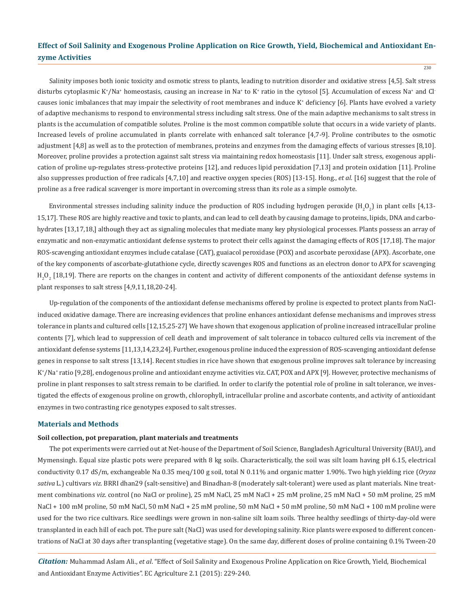$230$ 

Salinity imposes both ionic toxicity and osmotic stress to plants, leading to nutrition disorder and oxidative stress [4,5]. Salt stress disturbs cytoplasmic K+/Na+ homeostasis, causing an increase in Na+ to K+ ratio in the cytosol [5]. Accumulation of excess Na+ and Cl<sup>-</sup> causes ionic imbalances that may impair the selectivity of root membranes and induce K<sup>+</sup> deficiency [6]. Plants have evolved a variety of adaptive mechanisms to respond to environmental stress including salt stress. One of the main adaptive mechanisms to salt stress in plants is the accumulation of compatible solutes. Proline is the most common compatible solute that occurs in a wide variety of plants. Increased levels of proline accumulated in plants correlate with enhanced salt tolerance [4,7-9]. Proline contributes to the osmotic adjustment [4,8] as well as to the protection of membranes, proteins and enzymes from the damaging effects of various stresses [8,10]. Moreover, proline provides a protection against salt stress via maintaining redox homeostasis [11]. Under salt stress, exogenous application of proline up-regulates stress-protective proteins [12], and reduces lipid peroxidation [7,13] and protein oxidation [11]. Proline also suppresses production of free radicals [4,7,10] and reactive oxygen species (ROS) [13-15]. Hong., *et al*. [16] suggest that the role of proline as a free radical scavenger is more important in overcoming stress than its role as a simple osmolyte.

Environmental stresses including salinity induce the production of ROS including hydrogen peroxide  $(\text{H}_{2}\text{O}_{2})$  in plant cells [4,13-15,17]. These ROS are highly reactive and toxic to plants, and can lead to cell death by causing damage to proteins, lipids, DNA and carbohydrates [13,17,18,] although they act as signaling molecules that mediate many key physiological processes. Plants possess an array of enzymatic and non-enzymatic antioxidant defense systems to protect their cells against the damaging effects of ROS [17,18]. The major ROS-scavenging antioxidant enzymes include catalase (CAT), guaiacol peroxidase (POX) and ascorbate peroxidase (APX). Ascorbate, one of the key components of ascorbate-glutathione cycle, directly scavenges ROS and functions as an electron donor to APX for scavenging  $\rm H_2O_2$  [18,19]. There are reports on the changes in content and activity of different components of the antioxidant defense systems in plant responses to salt stress [4,9,11,18,20-24].

Up-regulation of the components of the antioxidant defense mechanisms offered by proline is expected to protect plants from NaClinduced oxidative damage. There are increasing evidences that proline enhances antioxidant defense mechanisms and improves stress tolerance in plants and cultured cells [12,15,25-27] We have shown that exogenous application of proline increased intracellular proline contents [7], which lead to suppression of cell death and improvement of salt tolerance in tobacco cultured cells via increment of the antioxidant defense systems [11,13,14,23,24]. Further, exogenous proline induced the expression of ROS-scavenging antioxidant defense genes in response to salt stress [13,14]. Recent studies in rice have shown that exogenous proline improves salt tolerance by increasing K+ /Na<sup>+</sup> ratio [9,28], endogenous proline and antioxidant enzyme activities viz. CAT, POX and APX [9]. However, protective mechanisms of proline in plant responses to salt stress remain to be clarified. In order to clarify the potential role of proline in salt tolerance, we investigated the effects of exogenous proline on growth, chlorophyll, intracellular proline and ascorbate contents, and activity of antioxidant enzymes in two contrasting rice genotypes exposed to salt stresses.

#### **Materials and Methods**

#### **Soil collection, pot preparation, plant materials and treatments**

The pot experiments were carried out at Net-house of the Department of Soil Science, Bangladesh Agricultural University (BAU), and Mymensingh. Equal size plastic pots were prepared with 8 kg soils. Characteristically, the soil was silt loam having pH 6.15, electrical conductivity 0.17 dS/m, exchangeable Na 0.35 meq/100 g soil, total N 0.11% and organic matter 1.90%. Two high yielding rice (*Oryza sativa* L.) cultivars *viz*. BRRI dhan29 (salt-sensitive) and Binadhan-8 (moderately salt-tolerant) were used as plant materials. Nine treatment combinations *viz*. control (no NaCl or proline), 25 mM NaCl, 25 mM NaCl + 25 mM proline, 25 mM NaCl + 50 mM proline, 25 mM NaCl + 100 mM proline, 50 mM NaCl, 50 mM NaCl + 25 mM proline, 50 mM NaCl + 50 mM proline, 50 mM NaCl + 100 mM proline were used for the two rice cultivars. Rice seedlings were grown in non-saline silt loam soils. Three healthy seedlings of thirty-day-old were transplanted in each hill of each pot. The pure salt (NaCl) was used for developing salinity. Rice plants were exposed to different concentrations of NaCl at 30 days after transplanting (vegetative stage). On the same day, different doses of proline containing 0.1% Tween-20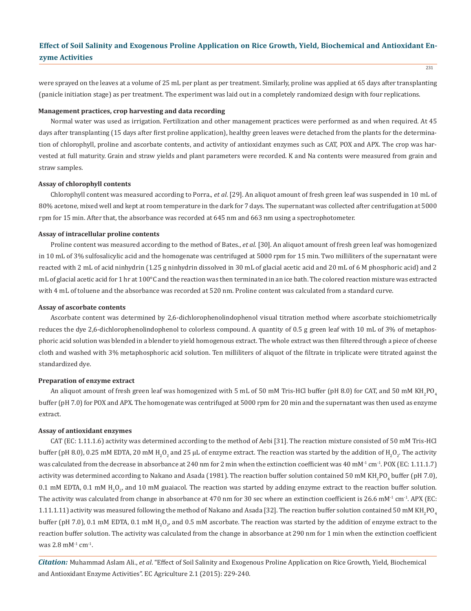were sprayed on the leaves at a volume of 25 mL per plant as per treatment. Similarly, proline was applied at 65 days after transplanting (panicle initiation stage) as per treatment. The experiment was laid out in a completely randomized design with four replications.

#### **Management practices, crop harvesting and data recording**

Normal water was used as irrigation. Fertilization and other management practices were performed as and when required. At 45 days after transplanting (15 days after first proline application), healthy green leaves were detached from the plants for the determination of chlorophyll, proline and ascorbate contents, and activity of antioxidant enzymes such as CAT, POX and APX. The crop was harvested at full maturity. Grain and straw yields and plant parameters were recorded. K and Na contents were measured from grain and straw samples.

#### **Assay of chlorophyll contents**

Chlorophyll content was measured according to Porra., *et al*. [29]. An aliquot amount of fresh green leaf was suspended in 10 mL of 80% acetone, mixed well and kept at room temperature in the dark for 7 days. The supernatant was collected after centrifugation at 5000 rpm for 15 min. After that, the absorbance was recorded at 645 nm and 663 nm using a spectrophotometer.

#### **Assay of intracellular proline contents**

Proline content was measured according to the method of Bates., *et al*. [30]. An aliquot amount of fresh green leaf was homogenized in 10 mL of 3% sulfosalicylic acid and the homogenate was centrifuged at 5000 rpm for 15 min. Two milliliters of the supernatant were reacted with 2 mL of acid ninhydrin (1.25 g ninhydrin dissolved in 30 mL of glacial acetic acid and 20 mL of 6 M phosphoric acid) and 2 mL of glacial acetic acid for 1 hr at 100°C and the reaction was then terminated in an ice bath. The colored reaction mixture was extracted with 4 mL of toluene and the absorbance was recorded at 520 nm. Proline content was calculated from a standard curve.

#### **Assay of ascorbate contents**

Ascorbate content was determined by 2,6-dichlorophenolindophenol visual titration method where ascorbate stoichiometrically reduces the dye 2,6-dichlorophenolindophenol to colorless compound. A quantity of 0.5 g green leaf with 10 mL of 3% of metaphosphoric acid solution was blended in a blender to yield homogenous extract. The whole extract was then filtered through a piece of cheese cloth and washed with 3% metaphosphoric acid solution. Ten milliliters of aliquot of the filtrate in triplicate were titrated against the standardized dye.

#### **Preparation of enzyme extract**

An aliquot amount of fresh green leaf was homogenized with 5 mL of 50 mM Tris-HCl buffer (pH 8.0) for CAT, and 50 mM KH $_2$ PO $_4$ buffer (pH 7.0) for POX and APX. The homogenate was centrifuged at 5000 rpm for 20 min and the supernatant was then used as enzyme extract.

#### **Assay of antioxidant enzymes**

CAT (EC: 1.11.1.6) activity was determined according to the method of Aebi [31]. The reaction mixture consisted of 50 mM Tris-HCl buffer (pH 8.0), 0.25 mM EDTA, 20 mM H<sub>2</sub>O<sub>2</sub> and 25 µL of enzyme extract. The reaction was started by the addition of H<sub>2</sub>O<sub>2</sub>. The activity was calculated from the decrease in absorbance at 240 nm for 2 min when the extinction coefficient was 40 mM<sup>-1</sup> cm<sup>-1</sup>. POX (EC: 1.11.1.7) activity was determined according to Nakano and Asada (1981). The reaction buffer solution contained 50 mM KH $_2$ PO $_4$  buffer (pH 7.0),  $0.1$  mM EDTA,  $0.1$  mM  $H_2O_{2'}$  and  $10$  mM guaiacol. The reaction was started by adding enzyme extract to the reaction buffer solution. The activity was calculated from change in absorbance at 470 nm for 30 sec where an extinction coefficient is 26.6 mM $<sup>1</sup>$  cm<sup>-1</sup>. APX (EC:</sup>  $1.11.1.11$  activity was measured following the method of Nakano and Asada [32]. The reaction buffer solution contained 50 mM KH $_2$ PO $_4$ buffer (pH 7.0), 0.1 mM EDTA, 0.1 mM H<sub>2</sub>O<sub>2</sub>, and 0.5 mM ascorbate. The reaction was started by the addition of enzyme extract to the reaction buffer solution. The activity was calculated from the change in absorbance at 290 nm for 1 min when the extinction coefficient was 2.8 mM<sup>-1</sup> cm<sup>-1</sup>.

*Citation:* Muhammad Aslam Ali., *et al*. "Effect of Soil Salinity and Exogenous Proline Application on Rice Growth, Yield, Biochemical and Antioxidant Enzyme Activities". EC Agriculture 2.1 (2015): 229-240.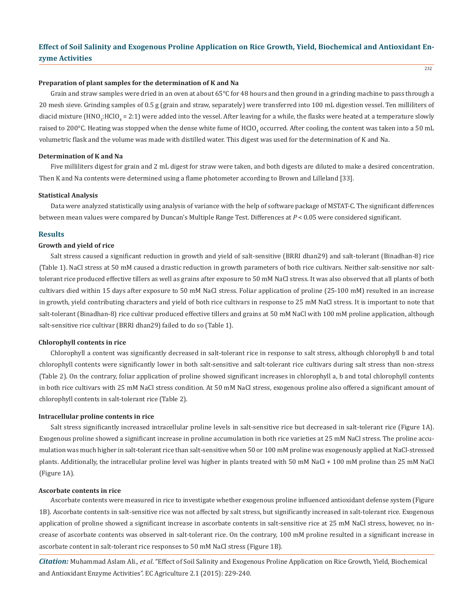#### **Preparation of plant samples for the determination of K and Na**

Grain and straw samples were dried in an oven at about 65°C for 48 hours and then ground in a grinding machine to pass through a 20 mesh sieve. Grinding samples of 0.5 g (grain and straw, separately) were transferred into 100 mL digestion vessel. Ten milliliters of diacid mixture (HNO $_3$ :HClO $_4$  = 2:1) were added into the vessel. After leaving for a while, the flasks were heated at a temperature slowly raised to 200°C. Heating was stopped when the dense white fume of HClO<sub>4</sub> occurred. After cooling, the content was taken into a 50 mL volumetric flask and the volume was made with distilled water. This digest was used for the determination of K and Na.

#### **Determination of K and Na**

Five milliliters digest for grain and 2 mL digest for straw were taken, and both digests are diluted to make a desired concentration. Then K and Na contents were determined using a flame photometer according to Brown and Lilleland [33].

#### **Statistical Analysis**

Data were analyzed statistically using analysis of variance with the help of software package of MSTAT-C. The significant differences between mean values were compared by Duncan's Multiple Range Test. Differences at *P* < 0.05 were considered significant.

#### **Results**

#### **Growth and yield of rice**

Salt stress caused a significant reduction in growth and yield of salt-sensitive (BRRI dhan29) and salt-tolerant (Binadhan-8) rice (Table 1). NaCl stress at 50 mM caused a drastic reduction in growth parameters of both rice cultivars. Neither salt-sensitive nor salttolerant rice produced effective tillers as well as grains after exposure to 50 mM NaCl stress. It was also observed that all plants of both cultivars died within 15 days after exposure to 50 mM NaCl stress. Foliar application of proline (25-100 mM) resulted in an increase in growth, yield contributing characters and yield of both rice cultivars in response to 25 mM NaCl stress. It is important to note that salt-tolerant (Binadhan-8) rice cultivar produced effective tillers and grains at 50 mM NaCl with 100 mM proline application, although salt-sensitive rice cultivar (BRRI dhan29) failed to do so (Table 1).

#### **Chlorophyll contents in rice**

Chlorophyll a content was significantly decreased in salt-tolerant rice in response to salt stress, although chlorophyll b and total chlorophyll contents were significantly lower in both salt-sensitive and salt-tolerant rice cultivars during salt stress than non-stress (Table 2). On the contrary, foliar application of proline showed significant increases in chlorophyll a, b and total chlorophyll contents in both rice cultivars with 25 mM NaCl stress condition. At 50 mM NaCl stress, exogenous proline also offered a significant amount of chlorophyll contents in salt-tolerant rice (Table 2).

#### **Intracellular proline contents in rice**

Salt stress significantly increased intracellular proline levels in salt-sensitive rice but decreased in salt-tolerant rice (Figure 1A). Exogenous proline showed a significant increase in proline accumulation in both rice varieties at 25 mM NaCl stress. The proline accumulation was much higher in salt-tolerant rice than salt-sensitive when 50 or 100 mM proline was exogenously applied at NaCl-stressed plants. Additionally, the intracellular proline level was higher in plants treated with 50 mM NaCl + 100 mM proline than 25 mM NaCl (Figure 1A).

#### **Ascorbate contents in rice**

Ascorbate contents were measured in rice to investigate whether exogenous proline influenced antioxidant defense system (Figure 1B). Ascorbate contents in salt-sensitive rice was not affected by salt stress, but significantly increased in salt-tolerant rice. Exogenous application of proline showed a significant increase in ascorbate contents in salt-sensitive rice at 25 mM NaCl stress, however, no increase of ascorbate contents was observed in salt-tolerant rice. On the contrary, 100 mM proline resulted in a significant increase in ascorbate content in salt-tolerant rice responses to 50 mM NaCl stress (Figure 1B).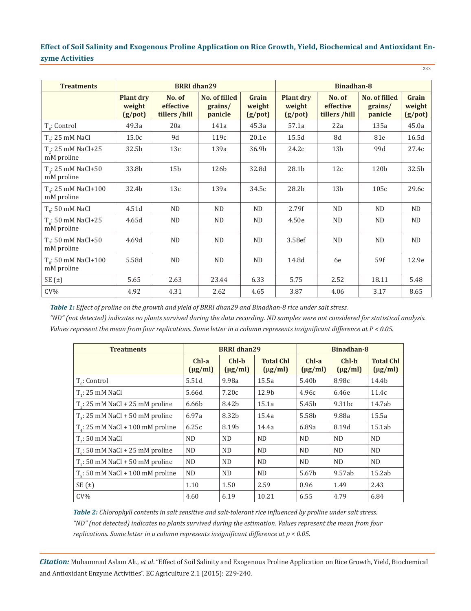233

| <b>Treatments</b>                          | <b>BRRI</b> dhan29                          |                                      |                                            |                                  | <b>Binadhan-8</b>                           |                                      |                                     |                                  |
|--------------------------------------------|---------------------------------------------|--------------------------------------|--------------------------------------------|----------------------------------|---------------------------------------------|--------------------------------------|-------------------------------------|----------------------------------|
|                                            | <b>Plant dry</b><br>weight<br>$(g$ /pot $)$ | No. of<br>effective<br>tillers /hill | <b>No. of filled</b><br>grains/<br>panicle | Grain<br>weight<br>$(g$ /pot $)$ | <b>Plant dry</b><br>weight<br>$(g$ /pot $)$ | No. of<br>effective<br>tillers /hill | No. of filled<br>grains/<br>panicle | Grain<br>weight<br>$(g$ /pot $)$ |
| $T_0$ : Control                            | 49.3a                                       | 20a                                  | 141a                                       | 45.3a                            | 57.1a                                       | 22a                                  | 135a                                | 45.0a                            |
| $T1: 25$ mM NaCl                           | 15.0c                                       | 9d                                   | 119c                                       | 20.1e                            | 15.5d                                       | 8d                                   | 81e                                 | 16.5d                            |
| $T_2$ : 25 mM NaCl+25<br>mM proline        | 32.5b                                       | 13c                                  | 139a                                       | 36.9b                            | 24.2c                                       | 13 <sub>b</sub>                      | 99d                                 | 27.4c                            |
| $T_a$ : 25 mM NaCl+50<br>mM proline        | 33.8b                                       | 15 <sub>b</sub>                      | 126b                                       | 32.8d                            | 28.1b                                       | 12c                                  | 120 <sub>b</sub>                    | 32.5b                            |
| $T_a$ : 25 mM NaCl+100<br>mM proline       | 32.4b                                       | 13c                                  | 139a                                       | 34.5c                            | 28.2b                                       | 13 <sub>b</sub>                      | 105c                                | 29.6c                            |
| $T_c$ : 50 mM NaCl                         | 4.51d                                       | ND.                                  | <b>ND</b>                                  | <b>ND</b>                        | 2.79f                                       | <b>ND</b>                            | <b>ND</b>                           | <b>ND</b>                        |
| $T_c$ : 50 mM NaCl+25<br>mM proline        | 4.65d                                       | <b>ND</b>                            | <b>ND</b>                                  | <b>ND</b>                        | 4.50e                                       | <b>ND</b>                            | <b>ND</b>                           | <b>ND</b>                        |
| $T_{7}$ : 50 mM NaCl+50<br>mM proline      | 4.69d                                       | <b>ND</b>                            | <b>ND</b>                                  | <b>ND</b>                        | 3.58ef                                      | ${\rm ND}$                           | <b>ND</b>                           | <b>ND</b>                        |
| $T_{\circ}$ : 50 mM NaCl+100<br>mM proline | 5.58d                                       | N <sub>D</sub>                       | <b>ND</b>                                  | <b>ND</b>                        | 14.8d                                       | 6e                                   | 59f                                 | 12.9e                            |
| SE(t)                                      | 5.65                                        | 2.63                                 | 23.44                                      | 6.33                             | 5.75                                        | 2.52                                 | 18.11                               | 5.48                             |
| $CV\%$                                     | 4.92                                        | 4.31                                 | 2.62                                       | 4.65                             | 3.87                                        | 4.06                                 | 3.17                                | 8.65                             |

*Table 1: Effect of proline on the growth and yield of BRRI dhan29 and Binadhan-8 rice under salt stress.*

*"ND" (not detected) indicates no plants survived during the data recording. ND samples were not considered for statistical analysis. Values represent the mean from four replications. Same letter in a column represents insignificant difference at P < 0.05.*

| <b>Treatments</b>                         |                         | <b>BRRI</b> dhan29      |                                  | Binadhan-8              |                         |                                  |
|-------------------------------------------|-------------------------|-------------------------|----------------------------------|-------------------------|-------------------------|----------------------------------|
|                                           | $Chl-a$<br>$(\mu g/ml)$ | $Chl-b$<br>$(\mu g/ml)$ | <b>Total Chl</b><br>$(\mu g/ml)$ | $Chl-a$<br>$(\mu g/ml)$ | $Chl-b$<br>$(\mu g/ml)$ | <b>Total Chl</b><br>$(\mu g/ml)$ |
| $T_{0}$ : Control                         | 5.51d                   | 9.98a                   | 15.5a                            | 5.40 <sub>b</sub>       | 8.98c                   | 14.4b                            |
| $T1: 25$ mM NaCl                          | 5.66d                   | 7.20c                   | 12.9b                            | 4.96с                   | 6.46e                   | 11.4c                            |
| $T2: 25$ mM NaCl + 25 mM proline          | 6.66b                   | 8.42b                   | 15.1a                            | 5.45b                   | 9.31bc                  | 14.7ab                           |
| $T2: 25$ mM NaCl + 50 mM proline          | 6.97a                   | 8.32b                   | 15.4a                            | 5.58b                   | 9.88a                   | 15.5a                            |
| $T_a$ : 25 mM NaCl + 100 mM proline       | 6.25c                   | 8.19b                   | 14.4a                            | 6.89a                   | 8.19d                   | 15.1ab                           |
| $T_s$ : 50 mM NaCl                        | <b>ND</b>               | <b>ND</b>               | N <sub>D</sub>                   | <b>ND</b>               | <b>ND</b>               | <b>ND</b>                        |
| $T_c$ : 50 mM NaCl + 25 mM proline        | <b>ND</b>               | <b>ND</b>               | <b>ND</b>                        | <b>ND</b>               | <b>ND</b>               | N <sub>D</sub>                   |
| $Tz: 50$ mM NaCl + 50 mM proline          | <b>ND</b>               | <b>ND</b>               | <b>ND</b>                        | <b>ND</b>               | <b>ND</b>               | <b>ND</b>                        |
| $T_{\circ}$ : 50 mM NaCl + 100 mM proline | <b>ND</b>               | <b>ND</b>               | N <sub>D</sub>                   | 5.67b                   | 9.57ab                  | 15.2ab                           |
| $SE(\pm)$                                 | 1.10                    | 1.50                    | 2.59                             | 0.96                    | 1.49                    | 2.43                             |
| $CV\%$                                    | 4.60                    | 6.19                    | 10.21                            | 6.55                    | 4.79                    | 6.84                             |

*Table 2: Chlorophyll contents in salt sensitive and salt-tolerant rice influenced by proline under salt stress. "ND" (not detected) indicates no plants survived during the estimation. Values represent the mean from four replications. Same letter in a column represents insignificant difference at p < 0.05.*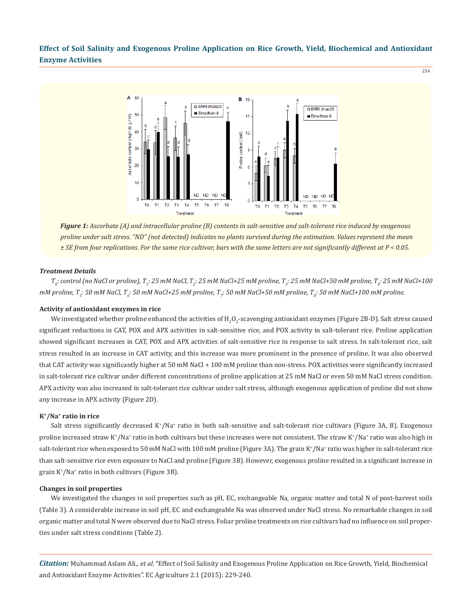234



*Figure 1: Ascorbate (A) and intracellular proline (B) contents in salt-sensitive and salt-tolerant rice induced by exogenous proline under salt stress. "ND" (not detected) indicates no plants survived during the estimation. Values represent the mean ± SE from four replications. For the same rice cultivar, bars with the same letters are not significantly different at P < 0.05.*

#### *Treatment Details*

*T0 : control (no NaCl or proline), T1 : 25 mM NaCl, T<sup>2</sup> : 25 mM NaCl+25 mM proline, T<sup>3</sup> : 25 mM NaCl+50 mM proline, T<sup>4</sup> : 25 mM NaCl+100 mM proline, T5 : 50 mM NaCl, T<sup>6</sup> : 50 mM NaCl+25 mM proline, T<sup>7</sup> : 50 mM NaCl+50 mM proline, T<sup>8</sup> : 50 mM NaCl+100 mM proline.*

#### **Activity of antioxidant enzymes in rice**

We investigated whether proline enhanced the activities of  $\rm H_2O_2$ -scavenging antioxidant enzymes (Figure 2B-D). Salt stress caused significant reductions in CAT, POX and APX activities in salt-sensitive rice, and POX activity in salt-tolerant rice. Proline application showed significant increases in CAT, POX and APX activities of salt-sensitive rice in response to salt stress. In salt-tolerant rice, salt stress resulted in an increase in CAT activity, and this increase was more prominent in the presence of proline. It was also observed that CAT activity was significantly higher at 50 mM NaCl + 100 mM proline than non-stress. POX activities were significantly increased in salt-tolerant rice cultivar under different concentrations of proline application at 25 mM NaCl or even 50 mM NaCl stress condition. APX activity was also increased in salt-tolerant rice cultivar under salt stress, although exogenous application of proline did not show any increase in APX activity (Figure 2D).

#### **K+/Na+ ratio in rice**

Salt stress significantly decreased K<sup>+</sup>/Na<sup>+</sup> ratio in both salt-sensitive and salt-tolerant rice cultivars (Figure 3A, B). Exogenous proline increased straw K\*/Na\* ratio in both cultivars but these increases were not consistent. The straw K\*/Na\* ratio was also high in salt-tolerant rice when exposed to 50 mM NaCl with 100 mM proline (Figure 3A). The grain K\*/Na\* ratio was higher in salt-tolerant rice than salt-sensitive rice even exposure to NaCl and proline (Figure 3B). However, exogenous proline resulted in a significant increase in grain K<sup>+</sup> /Na<sup>+</sup> ratio in both cultivars (Figure 3B).

#### **Changes in soil properties**

We investigated the changes in soil properties such as pH, EC, exchangeable Na, organic matter and total N of post-harvest soils (Table 3). A considerable increase in soil pH, EC and exchangeable Na was observed under NaCl stress. No remarkable changes in soil organic matter and total N were observed due to NaCl stress. Foliar proline treatments on rice cultivars had no influence on soil properties under salt stress conditions (Table 2).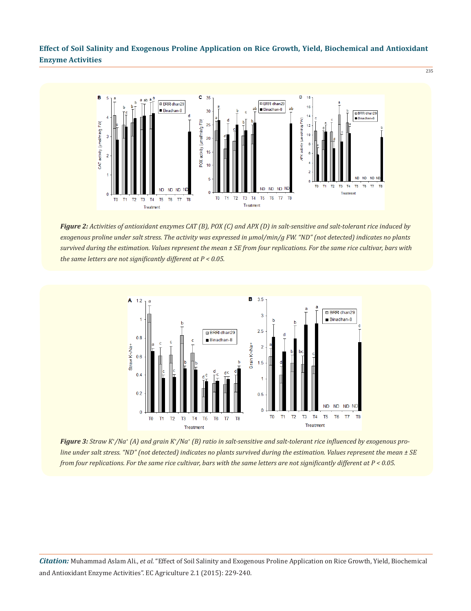235



*Figure 2: Activities of antioxidant enzymes CAT (B), POX (C) and APX (D) in salt-sensitive and salt-tolerant rice induced by exogenous proline under salt stress. The activity was expressed in μmol/min/g FW. "ND" (not detected) indicates no plants survived during the estimation. Values represent the mean ± SE from four replications. For the same rice cultivar, bars with the same letters are not significantly different at P < 0.05.*



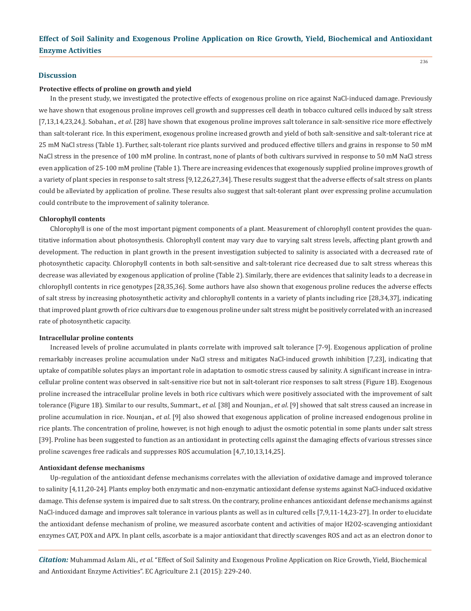236

#### **Discussion**

#### **Protective effects of proline on growth and yield**

In the present study, we investigated the protective effects of exogenous proline on rice against NaCl-induced damage. Previously we have shown that exogenous proline improves cell growth and suppresses cell death in tobacco cultured cells induced by salt stress [7,13,14,23,24,]. Sobahan., *et al*. [28] have shown that exogenous proline improves salt tolerance in salt-sensitive rice more effectively than salt-tolerant rice. In this experiment, exogenous proline increased growth and yield of both salt-sensitive and salt-tolerant rice at 25 mM NaCl stress (Table 1). Further, salt-tolerant rice plants survived and produced effective tillers and grains in response to 50 mM NaCl stress in the presence of 100 mM proline. In contrast, none of plants of both cultivars survived in response to 50 mM NaCl stress even application of 25-100 mM proline (Table 1). There are increasing evidences that exogenously supplied proline improves growth of a variety of plant species in response to salt stress [9,12,26,27,34]. These results suggest that the adverse effects of salt stress on plants could be alleviated by application of proline. These results also suggest that salt-tolerant plant over expressing proline accumulation could contribute to the improvement of salinity tolerance.

#### **Chlorophyll contents**

Chlorophyll is one of the most important pigment components of a plant. Measurement of chlorophyll content provides the quantitative information about photosynthesis. Chlorophyll content may vary due to varying salt stress levels, affecting plant growth and development. The reduction in plant growth in the present investigation subjected to salinity is associated with a decreased rate of photosynthetic capacity. Chlorophyll contents in both salt-sensitive and salt-tolerant rice decreased due to salt stress whereas this decrease was alleviated by exogenous application of proline (Table 2). Similarly, there are evidences that salinity leads to a decrease in chlorophyll contents in rice genotypes [28,35,36]. Some authors have also shown that exogenous proline reduces the adverse effects of salt stress by increasing photosynthetic activity and chlorophyll contents in a variety of plants including rice [28,34,37], indicating that improved plant growth of rice cultivars due to exogenous proline under salt stress might be positively correlated with an increased rate of photosynthetic capacity.

#### **Intracellular proline contents**

Increased levels of proline accumulated in plants correlate with improved salt tolerance [7-9]. Exogenous application of proline remarkably increases proline accumulation under NaCl stress and mitigates NaCl-induced growth inhibition [7,23], indicating that uptake of compatible solutes plays an important role in adaptation to osmotic stress caused by salinity. A significant increase in intracellular proline content was observed in salt-sensitive rice but not in salt-tolerant rice responses to salt stress (Figure 1B). Exogenous proline increased the intracellular proline levels in both rice cultivars which were positively associated with the improvement of salt tolerance (Figure 1B). Similar to our results, Summart., *et al*. [38] and Nounjan., *et al*. [9] showed that salt stress caused an increase in proline accumulation in rice. Nounjan., *et al*. [9] also showed that exogenous application of proline increased endogenous proline in rice plants. The concentration of proline, however, is not high enough to adjust the osmotic potential in some plants under salt stress [39]. Proline has been suggested to function as an antioxidant in protecting cells against the damaging effects of various stresses since proline scavenges free radicals and suppresses ROS accumulation [4,7,10,13,14,25].

#### **Antioxidant defense mechanisms**

Up-regulation of the antioxidant defense mechanisms correlates with the alleviation of oxidative damage and improved tolerance to salinity [4,11,20-24]. Plants employ both enzymatic and non-enzymatic antioxidant defense systems against NaCl-induced oxidative damage. This defense system is impaired due to salt stress. On the contrary, proline enhances antioxidant defense mechanisms against NaCl-induced damage and improves salt tolerance in various plants as well as in cultured cells [7,9,11-14,23-27]. In order to elucidate the antioxidant defense mechanism of proline, we measured ascorbate content and activities of major H2O2-scavenging antioxidant enzymes CAT, POX and APX. In plant cells, ascorbate is a major antioxidant that directly scavenges ROS and act as an electron donor to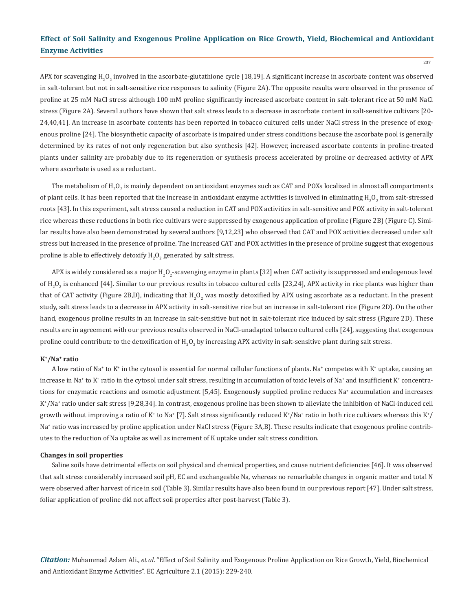APX for scavenging H<sub>2</sub>O<sub>2</sub> involved in the ascorbate-glutathione cycle [18,19]. A significant increase in ascorbate content was observed in salt-tolerant but not in salt-sensitive rice responses to salinity (Figure 2A). The opposite results were observed in the presence of proline at 25 mM NaCl stress although 100 mM proline significantly increased ascorbate content in salt-tolerant rice at 50 mM NaCl stress (Figure 2A). Several authors have shown that salt stress leads to a decrease in ascorbate content in salt-sensitive cultivars [20- 24,40,41]. An increase in ascorbate contents has been reported in tobacco cultured cells under NaCl stress in the presence of exogenous proline [24]. The biosynthetic capacity of ascorbate is impaired under stress conditions because the ascorbate pool is generally determined by its rates of not only regeneration but also synthesis [42]. However, increased ascorbate contents in proline-treated plants under salinity are probably due to its regeneration or synthesis process accelerated by proline or decreased activity of APX where ascorbate is used as a reductant.

The metabolism of  $\mathtt{H_2O_2}$  is mainly dependent on antioxidant enzymes such as CAT and POXs localized in almost all compartments of plant cells. It has been reported that the increase in antioxidant enzyme activities is involved in eliminating  ${\tt H_2O_2}$  from salt-stressed roots [43]. In this experiment, salt stress caused a reduction in CAT and POX activities in salt-sensitive and POX activity in salt-tolerant rice whereas these reductions in both rice cultivars were suppressed by exogenous application of proline (Figure 2B) (Figure C). Similar results have also been demonstrated by several authors [9,12,23] who observed that CAT and POX activities decreased under salt stress but increased in the presence of proline. The increased CAT and POX activities in the presence of proline suggest that exogenous proline is able to effectively detoxify  ${\rm H_2O_2}$  generated by salt stress.

APX is widely considered as a major H<sub>2</sub>O<sub>2</sub>-scavenging enzyme in plants [32] when CAT activity is suppressed and endogenous level of  $H_2O_2$  is enhanced [44]. Similar to our previous results in tobacco cultured cells [23,24], APX activity in rice plants was higher than that of CAT activity (Figure 2B,D), indicating that  $\rm H_2O_2$  was mostly detoxified by APX using ascorbate as a reductant. In the present study, salt stress leads to a decrease in APX activity in salt-sensitive rice but an increase in salt-tolerant rice (Figure 2D). On the other hand, exogenous proline results in an increase in salt-sensitive but not in salt-tolerant rice induced by salt stress (Figure 2D). These results are in agreement with our previous results observed in NaCl-unadapted tobacco cultured cells [24], suggesting that exogenous proline could contribute to the detoxification of  $\rm H_2O_2$  by increasing APX activity in salt-sensitive plant during salt stress.

#### **K+/Na+ ratio**

A low ratio of Na<sup>+</sup> to K<sup>+</sup> in the cytosol is essential for normal cellular functions of plants. Na<sup>+</sup> competes with K<sup>+</sup> uptake, causing an increase in Na $^*$  to K $^*$  ratio in the cytosol under salt stress, resulting in accumulation of toxic levels of Na $^*$  and insufficient K $^*$  concentrations for enzymatic reactions and osmotic adjustment [5,45]. Exogenously supplied proline reduces Na<sup>+</sup> accumulation and increases K+ /Na<sup>+</sup> ratio under salt stress [9,28,34]. In contrast, exogenous proline has been shown to alleviate the inhibition of NaCl-induced cell growth without improving a ratio of K\* to Na\* [7]. Salt stress significantly reduced K\*/Na\* ratio in both rice cultivars whereas this K\*/ Na+ ratio was increased by proline application under NaCl stress (Figure 3A,B). These results indicate that exogenous proline contributes to the reduction of Na uptake as well as increment of K uptake under salt stress condition.

#### **Changes in soil properties**

Saline soils have detrimental effects on soil physical and chemical properties, and cause nutrient deficiencies [46]. It was observed that salt stress considerably increased soil pH, EC and exchangeable Na, whereas no remarkable changes in organic matter and total N were observed after harvest of rice in soil (Table 3). Similar results have also been found in our previous report [47]. Under salt stress, foliar application of proline did not affect soil properties after post-harvest (Table 3).

*Citation:* Muhammad Aslam Ali., *et al*. "Effect of Soil Salinity and Exogenous Proline Application on Rice Growth, Yield, Biochemical and Antioxidant Enzyme Activities". EC Agriculture 2.1 (2015): 229-240.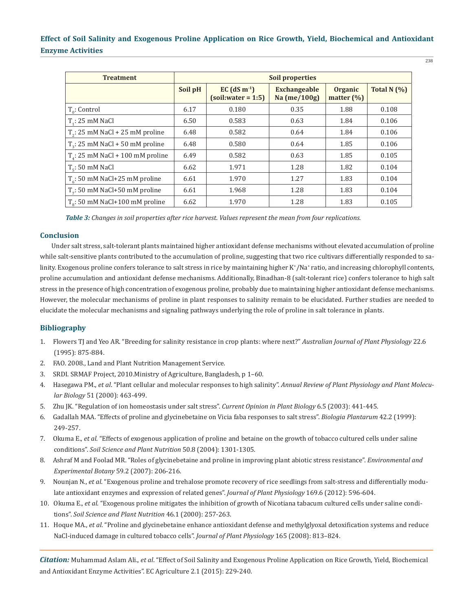| <b>Treatment</b>                   | <b>Soil properties</b> |                                                    |                                     |                                  |               |  |  |
|------------------------------------|------------------------|----------------------------------------------------|-------------------------------------|----------------------------------|---------------|--|--|
|                                    | Soil pH                | $EC$ (dS m <sup>-1</sup> )<br>$(soil:water = 1:5)$ | <b>Exchangeable</b><br>Na (me/100g) | <b>Organic</b><br>matter $(\% )$ | Total N $(%)$ |  |  |
| $T_{0}$ : Control                  | 6.17                   | 0.180                                              | 0.35                                | 1.88                             | 0.108         |  |  |
| $T_{\rm{.}}$ : 25 mM NaCl          | 6.50                   | 0.583                                              | 0.63                                | 1.84                             | 0.106         |  |  |
| $T_2$ : 25 mM NaCl + 25 mM proline | 6.48                   | 0.582                                              | 0.64                                | 1.84                             | 0.106         |  |  |
| $T_2$ : 25 mM NaCl + 50 mM proline | 6.48                   | 0.580                                              | 0.64                                | 1.85                             | 0.106         |  |  |
| $Ta: 25$ mM NaCl + 100 mM proline  | 6.49                   | 0.582                                              | 0.63                                | 1.85                             | 0.105         |  |  |
| $Tr$ : 50 mM NaCl                  | 6.62                   | 1.971                                              | 1.28                                | 1.82                             | 0.104         |  |  |
| $T_c$ : 50 mM NaCl+25 mM proline   | 6.61                   | 1.970                                              | 1.27                                | 1.83                             | 0.104         |  |  |
| $Tz: 50$ mM NaCl+50 mM proline     | 6.61                   | 1.968                                              | 1.28                                | 1.83                             | 0.104         |  |  |
| $To: 50$ mM NaCl+100 mM proline    | 6.62                   | 1.970                                              | 1.28                                | 1.83                             | 0.105         |  |  |

*Table 3: Changes in soil properties after rice harvest. Values represent the mean from four replications.*

## **Conclusion**

Under salt stress, salt-tolerant plants maintained higher antioxidant defense mechanisms without elevated accumulation of proline while salt-sensitive plants contributed to the accumulation of proline, suggesting that two rice cultivars differentially responded to salinity. Exogenous proline confers tolerance to salt stress in rice by maintaining higher K\*/Na\* ratio, and increasing chlorophyll contents, proline accumulation and antioxidant defense mechanisms. Additionally, Binadhan-8 (salt-tolerant rice) confers tolerance to high salt stress in the presence of high concentration of exogenous proline, probably due to maintaining higher antioxidant defense mechanisms. However, the molecular mechanisms of proline in plant responses to salinity remain to be elucidated. Further studies are needed to elucidate the molecular mechanisms and signaling pathways underlying the role of proline in salt tolerance in plants.

#### **Bibliography**

- 1. Flowers TJ and Yeo AR. "Breeding for salinity resistance in crop plants: where next?" *Australian Journal of Plant Physiology* 22.6 (1995): 875-884.
- 2. FAO. 2008., Land and Plant Nutrition Management Service.
- 3. SRDI. SRMAF Project, 2010.Ministry of Agriculture, Bangladesh, p 1–60.
- 4. Hasegawa PM., *et al*. "Plant cellular and molecular responses to high salinity". *Annual Review of Plant Physiology and Plant Molecu lar Biology* 51 (2000): 463-499.
- 5. Zhu JK. "Regulation of ion homeostasis under salt stress". *Current Opinion in Plant Biology* 6.5 (2003): 441-445.
- 6. Gadallah MAA. "Effects of proline and glycinebetaine on Vicia faba responses to salt stress". *Biologia Plantarum* 42.2 (1999): 249-257.
- 7. Okuma E., *et al*. "Effects of exogenous application of proline and betaine on the growth of tobacco cultured cells under saline conditions". *Soil Science and Plant Nutrition* 50.8 (2004): 1301-1305.
- 8. Ashraf M and Foolad MR. "Roles of glycinebetaine and proline in improving plant abiotic stress resistance". *Environmental and Experimental Botany* 59.2 (2007): 206-216.
- 9. Nounjan N., *et al*. "Exogenous proline and trehalose promote recovery of rice seedlings from salt-stress and differentially modu late antioxidant enzymes and expression of related genes". *Journal of Plant Physiology* 169.6 (2012): 596-604.
- 10. Okuma E., *et al*. "Exogenous proline mitigates the inhibition of growth of Nicotiana tabacum cultured cells under saline condi tions". *Soil Science and Plant Nutrition* 46.1 (2000): 257-263.
- 11. Hoque MA., *et al*. "Proline and glycinebetaine enhance antioxidant defense and methylglyoxal detoxification systems and reduce NaCl-induced damage in cultured tobacco cells". *Journal of Plant Physiology* 165 (2008): 813–824.

*Citation:* Muhammad Aslam Ali., *et al*. "Effect of Soil Salinity and Exogenous Proline Application on Rice Growth, Yield, Biochemical and Antioxidant Enzyme Activities". EC Agriculture 2.1 (2015): 229-240.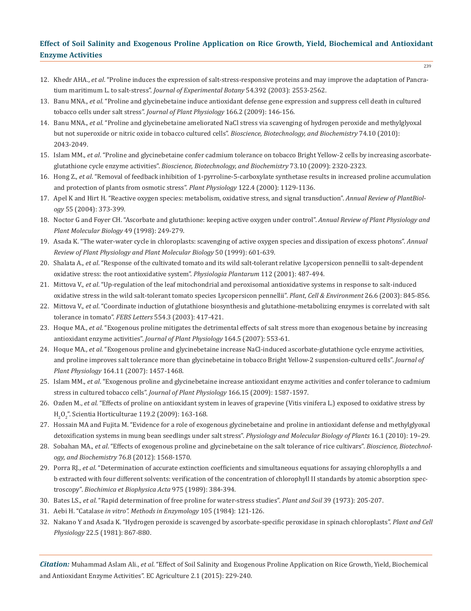- 12. Khedr AHA., *et al*. "Proline induces the expression of salt-stress-responsive proteins and may improve the adaptation of Pancra tium maritimum L. to salt-stress". *Journal of Experimental Botany* 54.392 (2003): 2553-2562.
- 13. Banu MNA., *et al*. "Proline and glycinebetaine induce antioxidant defense gene expression and suppress cell death in cultured tobacco cells under salt stress". *Journal of Plant Physiology* 166.2 (2009): 146-156.
- 14. Banu MNA., *et al*. "Proline and glycinebetaine ameliorated NaCl stress via scavenging of hydrogen peroxide and methylglyoxal but not superoxide or nitric oxide in tobacco cultured cells". *Bioscience, Biotechnology, and Biochemistry* 74.10 (2010): 2043-2049.
- 15. Islam MM., *et al*. "Proline and glycinebetaine confer cadmium tolerance on tobacco Bright Yellow-2 cells by increasing ascorbate glutathione cycle enzyme activities". *Bioscience, Biotechnology, and Biochemistry* 73.10 (2009): 2320-2323.
- 16. Hong Z., *et al*. "Removal of feedback inhibition of 1-pyrroline-5-carboxylate synthetase results in increased proline accumulation and protection of plants from osmotic stress". *Plant Physiology* 122.4 (2000): 1129-1136.
- 17. Apel K and Hirt H. "Reactive oxygen species: metabolism, oxidative stress, and signal transduction". *Annual Review of PlantBiol ogy* 55 (2004): 373-399.
- 18. Noctor G and Foyer CH. "Ascorbate and glutathione: keeping active oxygen under control". *Annual Review of Plant Physiology and Plant Molecular Biology* 49 (1998): 249-279.
- 19. Asada K. "The water-water cycle in chloroplasts: scavenging of active oxygen species and dissipation of excess photons". *Annual Review of Plant Physiology and Plant Molecular Biology* 50 (1999): 601-639.
- 20. Shalata A., *et al*. "Response of the cultivated tomato and its wild salt-tolerant relative Lycopersicon pennellii to salt-dependent oxidative stress: the root antioxidative system". *Physiologia Plantarum* 112 (2001): 487-494.
- 21. Mittova V., *et al*. "Up-regulation of the leaf mitochondrial and peroxisomal antioxidative systems in response to salt-induced oxidative stress in the wild salt-tolerant tomato species Lycopersicon pennellii". *Plant, Cell & Environment* 26.6 (2003): 845-856.
- 22. Mittova V., *et al*. "Coordinate induction of glutathione biosynthesis and glutathione-metabolizing enzymes is correlated with salt tolerance in tomato". *FEBS Letters* 554.3 (2003): 417-421.
- 23. Hoque MA., *et al*. "Exogenous proline mitigates the detrimental effects of salt stress more than exogenous betaine by increasing antioxidant enzyme activities". *Journal of Plant Physiology* 164.5 (2007): 553-61.
- 24. Hoque MA., *et al*. "Exogenous proline and glycinebetaine increase NaCl-induced ascorbate-glutathione cycle enzyme activities, and proline improves salt tolerance more than glycinebetaine in tobacco Bright Yellow-2 suspension-cultured cells". *Journal of Plant Physiology* 164.11 (2007): 1457-1468.
- 25. Islam MM., *et al*. "Exogenous proline and glycinebetaine increase antioxidant enzyme activities and confer tolerance to cadmium stress in cultured tobacco cells". *Journal of Plant Physiology* 166.15 (2009): 1587-1597.
- 26. Ozden M., *et al.* "Effects of proline on antioxidant system in leaves of grapevine (Vitis vinifera L.) exposed to oxidative stress by  $\rm H_2O_2$ ". Scientia Horticulturae 119.2 (2009): 163-168.
- 27. Hossain MA and Fujita M. "Evidence for a role of exogenous glycinebetaine and proline in antioxidant defense and methylglyoxal detoxification systems in mung bean seedlings under salt stress". *Physiology and Molecular Biology of Plants* 16.1 (2010): 19–29.
- 28. Sobahan MA., *et al*. "Effects of exogenous proline and glycinebetaine on the salt tolerance of rice cultivars". *Bioscience, Biotechnol ogy, and Biochemistry* 76.8 (2012): 1568-1570.
- 29. Porra RJ., *et al*. "Determination of accurate extinction coefficients and simultaneous equations for assaying chlorophylls a and b extracted with four different solvents: verification of the concentration of chlorophyll II standards by atomic absorption spec troscopy". *Biochimica et Biophysica Acta* 975 (1989): 384-394.
- 30. Bates LS., *et al*. "Rapid determination of free proline for water-stress studies". *Plant and Soil* 39 (1973): 205-207.
- 31. Aebi H. "Catalase *in vitro". Methods in Enzymology* 105 (1984): 121-126.
- 32. Nakano Y and Asada K. "Hydrogen peroxide is scavenged by ascorbate-specific peroxidase in spinach chloroplasts". *Plant and Cell Physiology* 22.5 (1981): 867-880.

*Citation:* Muhammad Aslam Ali., *et al*. "Effect of Soil Salinity and Exogenous Proline Application on Rice Growth, Yield, Biochemical and Antioxidant Enzyme Activities". EC Agriculture 2.1 (2015): 229-240.